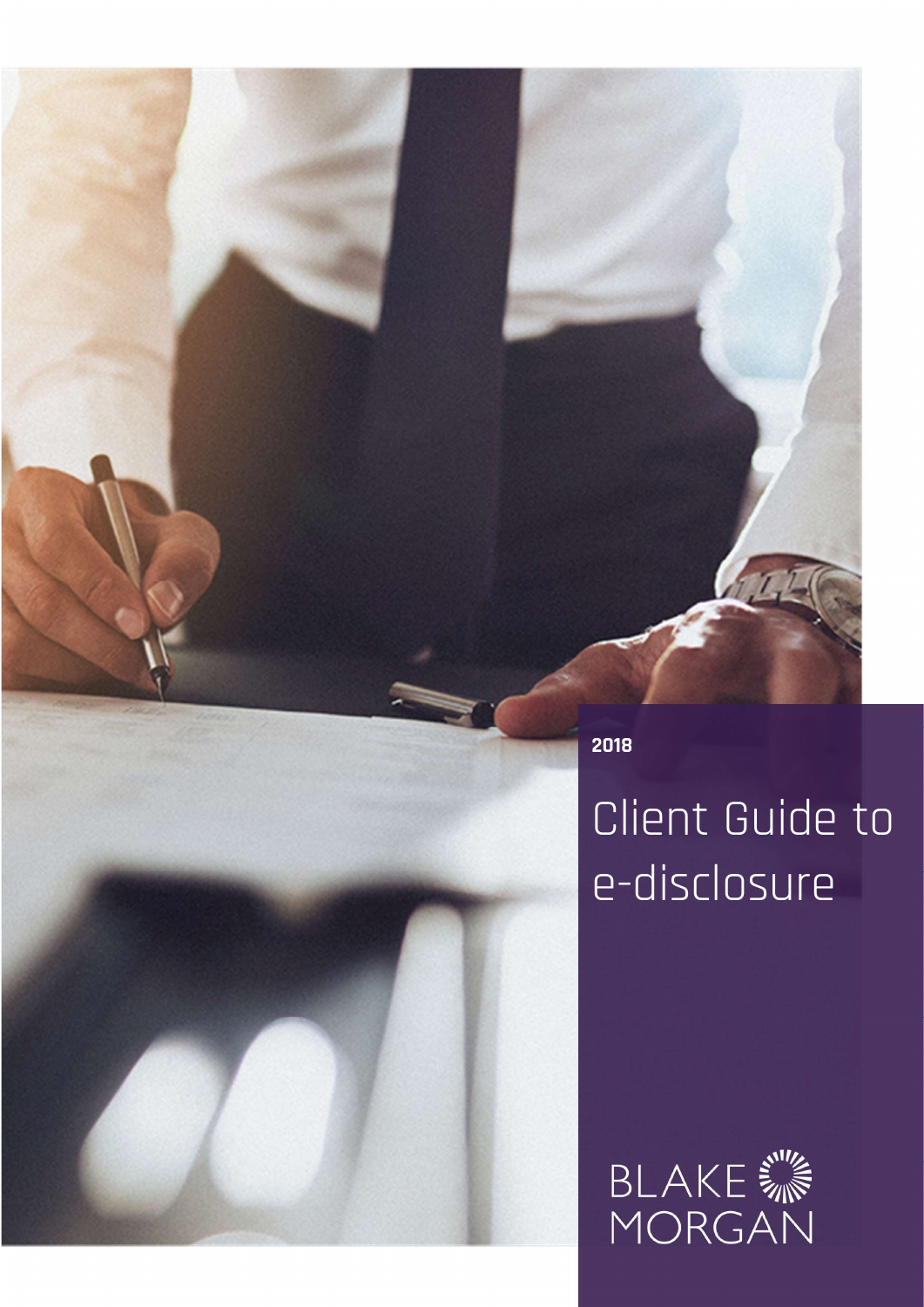2018

# Client Guide to e-disclosure

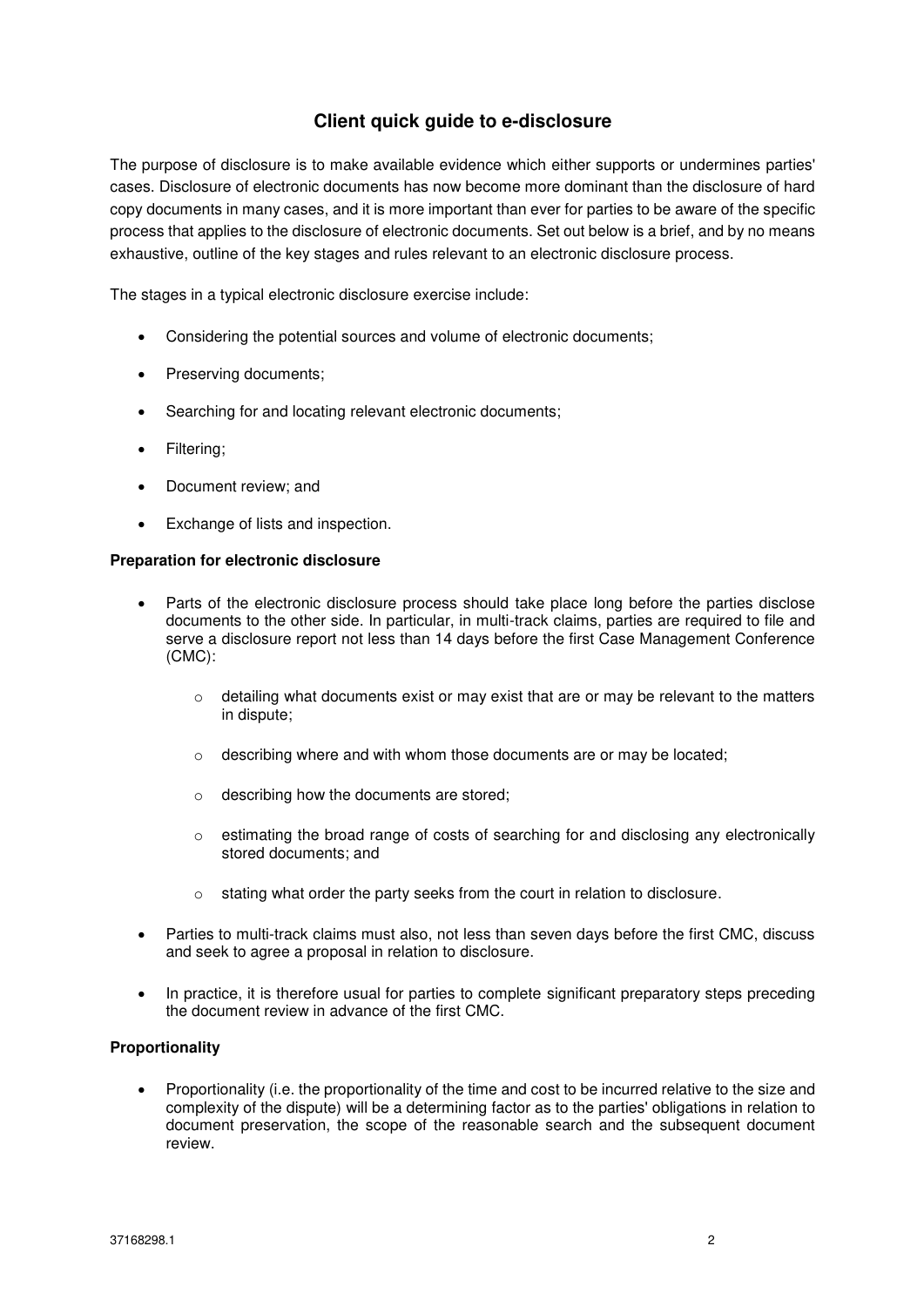# **Client quick guide to e-disclosure**

The purpose of disclosure is to make available evidence which either supports or undermines parties' cases. Disclosure of electronic documents has now become more dominant than the disclosure of hard copy documents in many cases, and it is more important than ever for parties to be aware of the specific process that applies to the disclosure of electronic documents. Set out below is a brief, and by no means exhaustive, outline of the key stages and rules relevant to an electronic disclosure process.

The stages in a typical electronic disclosure exercise include:

- Considering the potential sources and volume of electronic documents;
- Preserving documents;
- Searching for and locating relevant electronic documents;
- Filtering;
- Document review; and
- Exchange of lists and inspection.

#### **Preparation for electronic disclosure**

- Parts of the electronic disclosure process should take place long before the parties disclose documents to the other side. In particular, in multi-track claims, parties are required to file and serve a disclosure report not less than 14 days before the first Case Management Conference (CMC):
	- $\circ$  detailing what documents exist or may exist that are or may be relevant to the matters in dispute;
	- o describing where and with whom those documents are or may be located;
	- o describing how the documents are stored;
	- o estimating the broad range of costs of searching for and disclosing any electronically stored documents; and
	- o stating what order the party seeks from the court in relation to disclosure.
- Parties to multi-track claims must also, not less than seven days before the first CMC, discuss and seek to agree a proposal in relation to disclosure.
- In practice, it is therefore usual for parties to complete significant preparatory steps preceding the document review in advance of the first CMC.

#### **Proportionality**

 Proportionality (i.e. the proportionality of the time and cost to be incurred relative to the size and complexity of the dispute) will be a determining factor as to the parties' obligations in relation to document preservation, the scope of the reasonable search and the subsequent document review.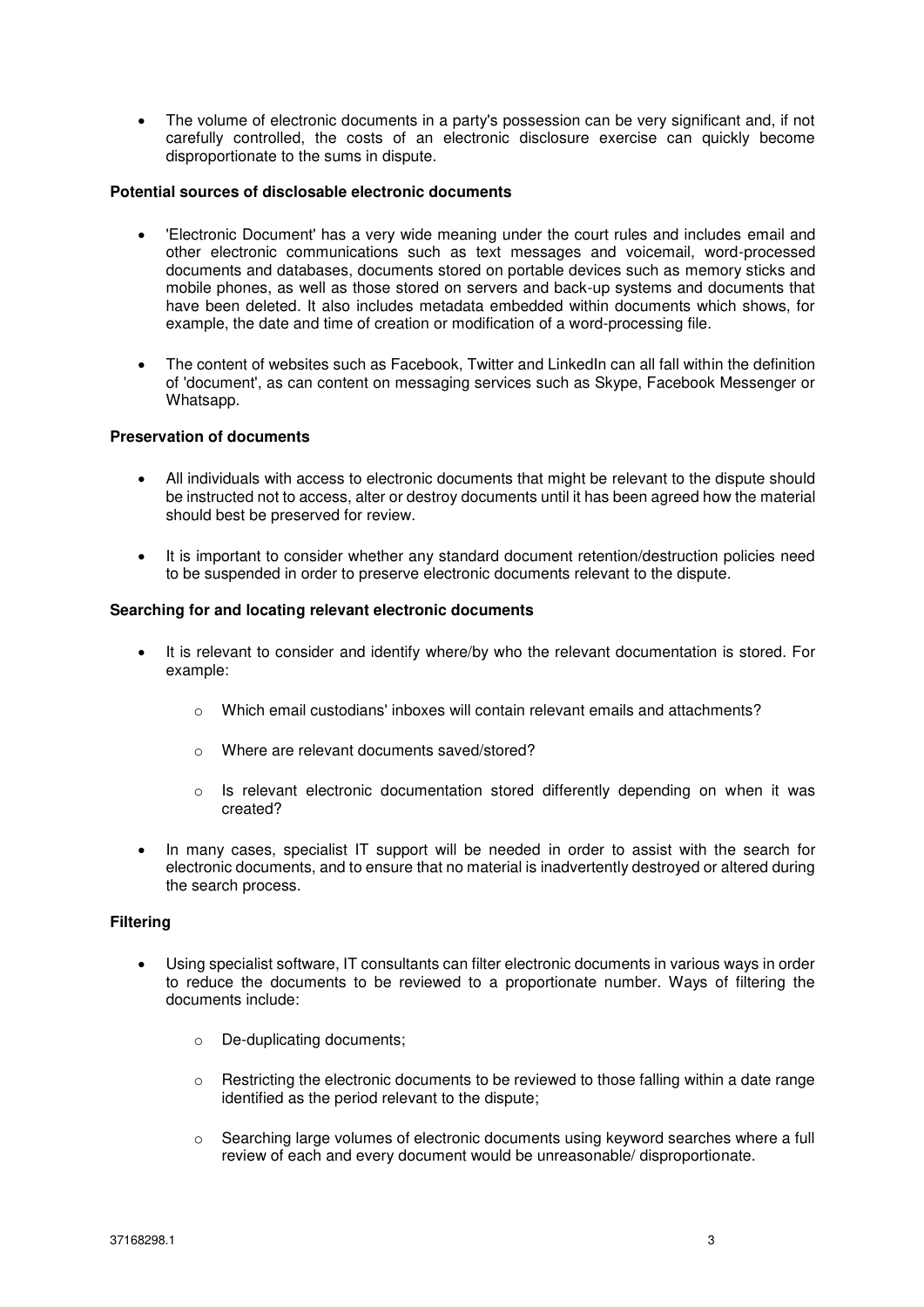The volume of electronic documents in a party's possession can be very significant and, if not carefully controlled, the costs of an electronic disclosure exercise can quickly become disproportionate to the sums in dispute.

### **Potential sources of disclosable electronic documents**

- 'Electronic Document' has a very wide meaning under the court rules and includes email and other electronic communications such as text messages and voicemail, word-processed documents and databases, documents stored on portable devices such as memory sticks and mobile phones, as well as those stored on servers and back-up systems and documents that have been deleted. It also includes metadata embedded within documents which shows, for example, the date and time of creation or modification of a word-processing file.
- The content of websites such as Facebook, Twitter and LinkedIn can all fall within the definition of 'document', as can content on messaging services such as Skype, Facebook Messenger or Whatsapp.

## **Preservation of documents**

- All individuals with access to electronic documents that might be relevant to the dispute should be instructed not to access, alter or destroy documents until it has been agreed how the material should best be preserved for review.
- It is important to consider whether any standard document retention/destruction policies need to be suspended in order to preserve electronic documents relevant to the dispute.

#### **Searching for and locating relevant electronic documents**

- It is relevant to consider and identify where/by who the relevant documentation is stored. For example:
	- $\circ$  Which email custodians' inboxes will contain relevant emails and attachments?
	- o Where are relevant documents saved/stored?
	- $\circ$  Is relevant electronic documentation stored differently depending on when it was created?
- In many cases, specialist IT support will be needed in order to assist with the search for electronic documents, and to ensure that no material is inadvertently destroyed or altered during the search process.

#### **Filtering**

- Using specialist software, IT consultants can filter electronic documents in various ways in order to reduce the documents to be reviewed to a proportionate number. Ways of filtering the documents include:
	- o De-duplicating documents;
	- $\circ$  Restricting the electronic documents to be reviewed to those falling within a date range identified as the period relevant to the dispute;
	- o Searching large volumes of electronic documents using keyword searches where a full review of each and every document would be unreasonable/ disproportionate.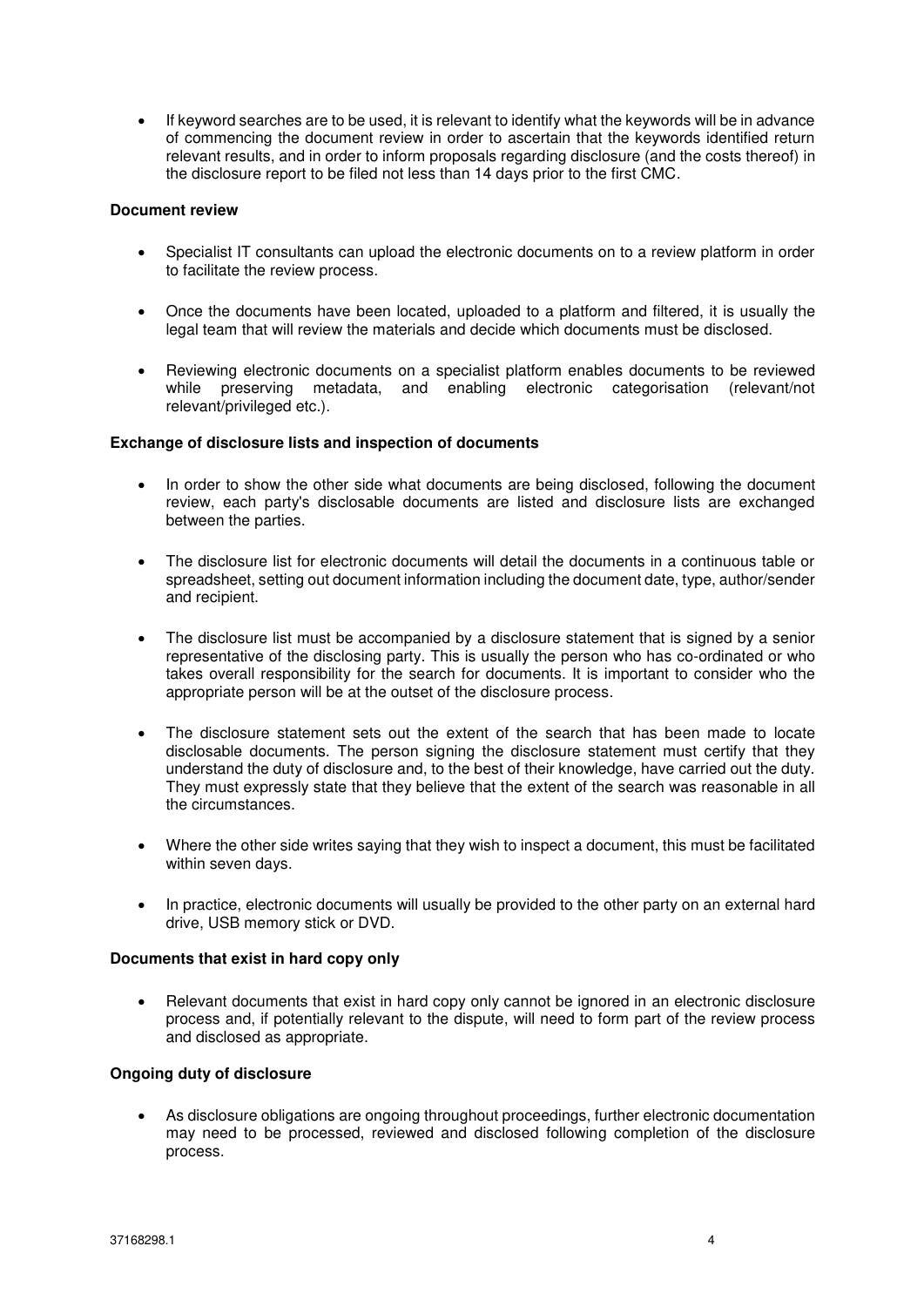If keyword searches are to be used, it is relevant to identify what the keywords will be in advance of commencing the document review in order to ascertain that the keywords identified return relevant results, and in order to inform proposals regarding disclosure (and the costs thereof) in the disclosure report to be filed not less than 14 days prior to the first CMC.

# **Document review**

- Specialist IT consultants can upload the electronic documents on to a review platform in order to facilitate the review process.
- Once the documents have been located, uploaded to a platform and filtered, it is usually the legal team that will review the materials and decide which documents must be disclosed.
- Reviewing electronic documents on a specialist platform enables documents to be reviewed while preserving metadata, and enabling electronic categorisation (relevant/not relevant/privileged etc.).

# **Exchange of disclosure lists and inspection of documents**

- In order to show the other side what documents are being disclosed, following the document review, each party's disclosable documents are listed and disclosure lists are exchanged between the parties.
- The disclosure list for electronic documents will detail the documents in a continuous table or spreadsheet, setting out document information including the document date, type, author/sender and recipient.
- The disclosure list must be accompanied by a disclosure statement that is signed by a senior representative of the disclosing party. This is usually the person who has co-ordinated or who takes overall responsibility for the search for documents. It is important to consider who the appropriate person will be at the outset of the disclosure process.
- The disclosure statement sets out the extent of the search that has been made to locate disclosable documents. The person signing the disclosure statement must certify that they understand the duty of disclosure and, to the best of their knowledge, have carried out the duty. They must expressly state that they believe that the extent of the search was reasonable in all the circumstances.
- Where the other side writes saying that they wish to inspect a document, this must be facilitated within seven days.
- In practice, electronic documents will usually be provided to the other party on an external hard drive, USB memory stick or DVD.

# **Documents that exist in hard copy only**

 Relevant documents that exist in hard copy only cannot be ignored in an electronic disclosure process and, if potentially relevant to the dispute, will need to form part of the review process and disclosed as appropriate.

# **Ongoing duty of disclosure**

 As disclosure obligations are ongoing throughout proceedings, further electronic documentation may need to be processed, reviewed and disclosed following completion of the disclosure process.